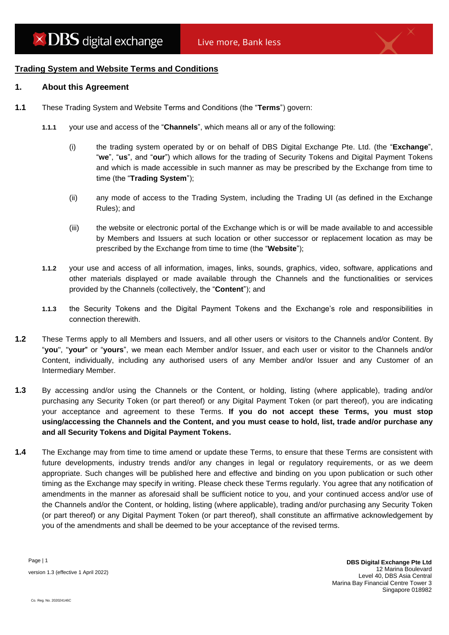## **Trading System and Website Terms and Conditions**

#### **1. About this Agreement**

- **1.1** These Trading System and Website Terms and Conditions (the "**Terms**") govern:
	- **1.1.1** your use and access of the "**Channels**", which means all or any of the following:
		- (i) the trading system operated by or on behalf of DBS Digital Exchange Pte. Ltd. (the "**Exchange**", "**we**", "**us**", and "**our**") which allows for the trading of Security Tokens and Digital Payment Tokens and which is made accessible in such manner as may be prescribed by the Exchange from time to time (the "**Trading System**");
		- (ii) any mode of access to the Trading System, including the Trading UI (as defined in the Exchange Rules); and
		- (iii) the website or electronic portal of the Exchange which is or will be made available to and accessible by Members and Issuers at such location or other successor or replacement location as may be prescribed by the Exchange from time to time (the "**Website**");
	- **1.1.2** your use and access of all information, images, links, sounds, graphics, video, software, applications and other materials displayed or made available through the Channels and the functionalities or services provided by the Channels (collectively, the "**Content**"); and
	- **1.1.3** the Security Tokens and the Digital Payment Tokens and the Exchange's role and responsibilities in connection therewith.
- **1.2** These Terms apply to all Members and Issuers, and all other users or visitors to the Channels and/or Content. By "**you**", "**your**" or "**yours**", we mean each Member and/or Issuer, and each user or visitor to the Channels and/or Content, individually, including any authorised users of any Member and/or Issuer and any Customer of an Intermediary Member.
- **1.3** By accessing and/or using the Channels or the Content, or holding, listing (where applicable), trading and/or purchasing any Security Token (or part thereof) or any Digital Payment Token (or part thereof), you are indicating your acceptance and agreement to these Terms. **If you do not accept these Terms, you must stop using/accessing the Channels and the Content, and you must cease to hold, list, trade and/or purchase any and all Security Tokens and Digital Payment Tokens.**
- **1.4** The Exchange may from time to time amend or update these Terms, to ensure that these Terms are consistent with future developments, industry trends and/or any changes in legal or regulatory requirements, or as we deem appropriate. Such changes will be published here and effective and binding on you upon publication or such other timing as the Exchange may specify in writing. Please check these Terms regularly. You agree that any notification of amendments in the manner as aforesaid shall be sufficient notice to you, and your continued access and/or use of the Channels and/or the Content, or holding, listing (where applicable), trading and/or purchasing any Security Token (or part thereof) or any Digital Payment Token (or part thereof), shall constitute an affirmative acknowledgement by you of the amendments and shall be deemed to be your acceptance of the revised terms.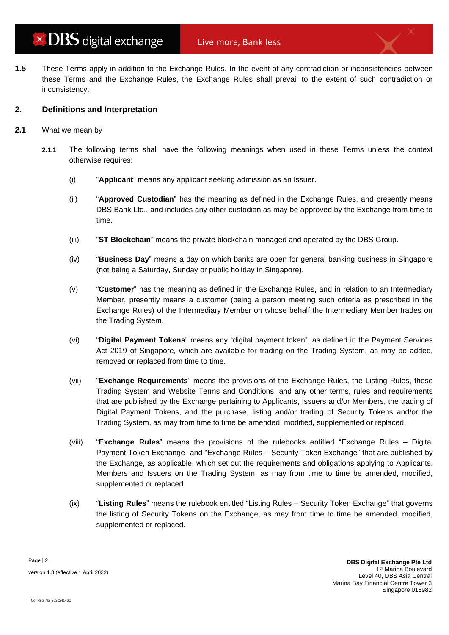**1.5** These Terms apply in addition to the Exchange Rules. In the event of any contradiction or inconsistencies between these Terms and the Exchange Rules, the Exchange Rules shall prevail to the extent of such contradiction or inconsistency.

## **2. Definitions and Interpretation**

- **2.1** What we mean by
	- **2.1.1** The following terms shall have the following meanings when used in these Terms unless the context otherwise requires:
		- (i) "**Applicant**" means any applicant seeking admission as an Issuer.
		- (ii) "**Approved Custodian**" has the meaning as defined in the Exchange Rules, and presently means DBS Bank Ltd., and includes any other custodian as may be approved by the Exchange from time to time.
		- (iii) "**ST Blockchain**" means the private blockchain managed and operated by the DBS Group.
		- (iv) "**Business Day**" means a day on which banks are open for general banking business in Singapore (not being a Saturday, Sunday or public holiday in Singapore).
		- (v) "**Customer**" has the meaning as defined in the Exchange Rules, and in relation to an Intermediary Member, presently means a customer (being a person meeting such criteria as prescribed in the Exchange Rules) of the Intermediary Member on whose behalf the Intermediary Member trades on the Trading System.
		- (vi) "**Digital Payment Tokens**" means any "digital payment token", as defined in the Payment Services Act 2019 of Singapore, which are available for trading on the Trading System, as may be added, removed or replaced from time to time.
		- (vii) "**Exchange Requirements**" means the provisions of the Exchange Rules, the Listing Rules, these Trading System and Website Terms and Conditions, and any other terms, rules and requirements that are published by the Exchange pertaining to Applicants, Issuers and/or Members, the trading of Digital Payment Tokens, and the purchase, listing and/or trading of Security Tokens and/or the Trading System, as may from time to time be amended, modified, supplemented or replaced.
		- (viii) "**Exchange Rules**" means the provisions of the rulebooks entitled "Exchange Rules Digital Payment Token Exchange" and "Exchange Rules – Security Token Exchange" that are published by the Exchange, as applicable, which set out the requirements and obligations applying to Applicants, Members and Issuers on the Trading System, as may from time to time be amended, modified, supplemented or replaced.
		- (ix) "**Listing Rules**" means the rulebook entitled "Listing Rules Security Token Exchange" that governs the listing of Security Tokens on the Exchange, as may from time to time be amended, modified, supplemented or replaced.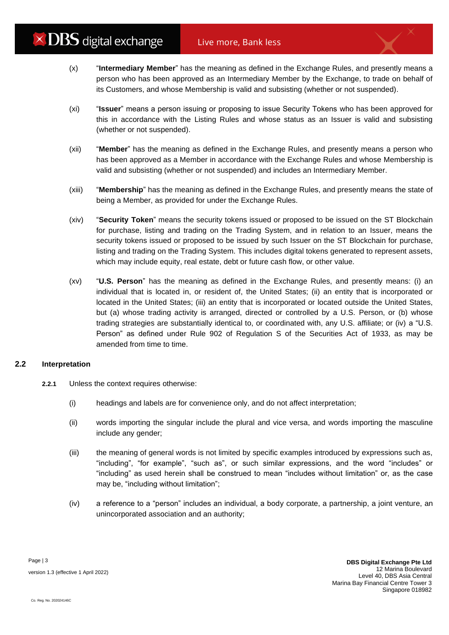- (x) "**Intermediary Member**" has the meaning as defined in the Exchange Rules, and presently means a person who has been approved as an Intermediary Member by the Exchange, to trade on behalf of its Customers, and whose Membership is valid and subsisting (whether or not suspended).
- (xi) "**Issuer**" means a person issuing or proposing to issue Security Tokens who has been approved for this in accordance with the Listing Rules and whose status as an Issuer is valid and subsisting (whether or not suspended).
- (xii) "**Member**" has the meaning as defined in the Exchange Rules, and presently means a person who has been approved as a Member in accordance with the Exchange Rules and whose Membership is valid and subsisting (whether or not suspended) and includes an Intermediary Member.
- (xiii) "**Membership**" has the meaning as defined in the Exchange Rules, and presently means the state of being a Member, as provided for under the Exchange Rules.
- (xiv) "**Security Token**" means the security tokens issued or proposed to be issued on the ST Blockchain for purchase, listing and trading on the Trading System, and in relation to an Issuer, means the security tokens issued or proposed to be issued by such Issuer on the ST Blockchain for purchase, listing and trading on the Trading System. This includes digital tokens generated to represent assets, which may include equity, real estate, debt or future cash flow, or other value.
- (xv) "**U.S. Person**" has the meaning as defined in the Exchange Rules, and presently means: (i) an individual that is located in, or resident of, the United States; (ii) an entity that is incorporated or located in the United States; (iii) an entity that is incorporated or located outside the United States, but (a) whose trading activity is arranged, directed or controlled by a U.S. Person, or (b) whose trading strategies are substantially identical to, or coordinated with, any U.S. affiliate; or (iv) a "U.S. Person" as defined under Rule 902 of Regulation S of the Securities Act of 1933, as may be amended from time to time.

## **2.2 Interpretation**

- **2.2.1** Unless the context requires otherwise:
	- (i) headings and labels are for convenience only, and do not affect interpretation;
	- (ii) words importing the singular include the plural and vice versa, and words importing the masculine include any gender;
	- (iii) the meaning of general words is not limited by specific examples introduced by expressions such as, "including", "for example", "such as", or such similar expressions, and the word "includes" or "including" as used herein shall be construed to mean "includes without limitation" or, as the case may be, "including without limitation";
	- (iv) a reference to a "person" includes an individual, a body corporate, a partnership, a joint venture, an unincorporated association and an authority;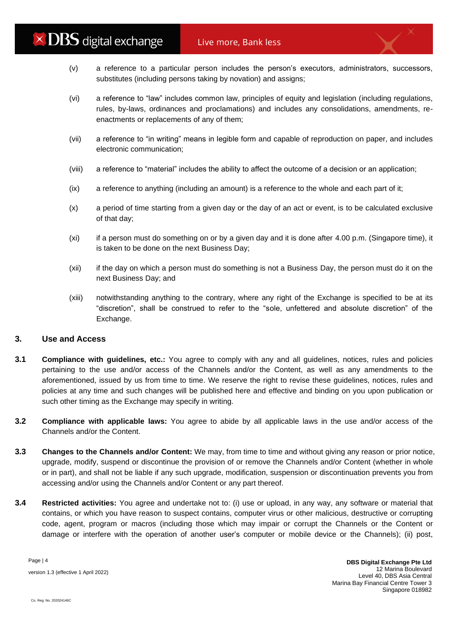- (v) a reference to a particular person includes the person's executors, administrators, successors, substitutes (including persons taking by novation) and assigns;
- (vi) a reference to "law" includes common law, principles of equity and legislation (including regulations, rules, by-laws, ordinances and proclamations) and includes any consolidations, amendments, reenactments or replacements of any of them;
- (vii) a reference to "in writing" means in legible form and capable of reproduction on paper, and includes electronic communication;
- (viii) a reference to "material" includes the ability to affect the outcome of a decision or an application;
- (ix) a reference to anything (including an amount) is a reference to the whole and each part of it;
- (x) a period of time starting from a given day or the day of an act or event, is to be calculated exclusive of that day;
- (xi) if a person must do something on or by a given day and it is done after 4.00 p.m. (Singapore time), it is taken to be done on the next Business Day;
- (xii) if the day on which a person must do something is not a Business Day, the person must do it on the next Business Day; and
- (xiii) notwithstanding anything to the contrary, where any right of the Exchange is specified to be at its "discretion", shall be construed to refer to the "sole, unfettered and absolute discretion" of the Exchange.

## **3. Use and Access**

- **3.1 Compliance with guidelines, etc.:** You agree to comply with any and all guidelines, notices, rules and policies pertaining to the use and/or access of the Channels and/or the Content, as well as any amendments to the aforementioned, issued by us from time to time. We reserve the right to revise these guidelines, notices, rules and policies at any time and such changes will be published here and effective and binding on you upon publication or such other timing as the Exchange may specify in writing.
- **3.2 Compliance with applicable laws:** You agree to abide by all applicable laws in the use and/or access of the Channels and/or the Content.
- **3.3 Changes to the Channels and/or Content:** We may, from time to time and without giving any reason or prior notice, upgrade, modify, suspend or discontinue the provision of or remove the Channels and/or Content (whether in whole or in part), and shall not be liable if any such upgrade, modification, suspension or discontinuation prevents you from accessing and/or using the Channels and/or Content or any part thereof.
- **3.4 Restricted activities:** You agree and undertake not to: (i) use or upload, in any way, any software or material that contains, or which you have reason to suspect contains, computer virus or other malicious, destructive or corrupting code, agent, program or macros (including those which may impair or corrupt the Channels or the Content or damage or interfere with the operation of another user's computer or mobile device or the Channels); (ii) post,

Page | 4 version 1.3 (effective 1 April 2022)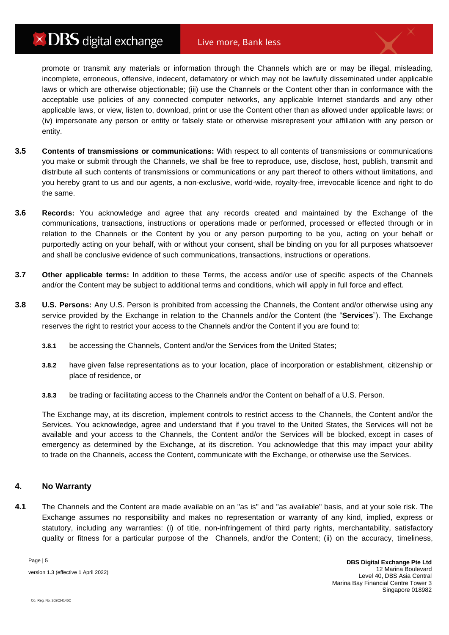# $\times$  DBS digital exchange

promote or transmit any materials or information through the Channels which are or may be illegal, misleading, incomplete, erroneous, offensive, indecent, defamatory or which may not be lawfully disseminated under applicable laws or which are otherwise objectionable; (iii) use the Channels or the Content other than in conformance with the acceptable use policies of any connected computer networks, any applicable Internet standards and any other applicable laws, or view, listen to, download, print or use the Content other than as allowed under applicable laws; or (iv) impersonate any person or entity or falsely state or otherwise misrepresent your affiliation with any person or entity.

- **3.5 Contents of transmissions or communications:** With respect to all contents of transmissions or communications you make or submit through the Channels, we shall be free to reproduce, use, disclose, host, publish, transmit and distribute all such contents of transmissions or communications or any part thereof to others without limitations, and you hereby grant to us and our agents, a non-exclusive, world-wide, royalty-free, irrevocable licence and right to do the same.
- **3.6 Records:** You acknowledge and agree that any records created and maintained by the Exchange of the communications, transactions, instructions or operations made or performed, processed or effected through or in relation to the Channels or the Content by you or any person purporting to be you, acting on your behalf or purportedly acting on your behalf, with or without your consent, shall be binding on you for all purposes whatsoever and shall be conclusive evidence of such communications, transactions, instructions or operations.
- **3.7 Other applicable terms:** In addition to these Terms, the access and/or use of specific aspects of the Channels and/or the Content may be subject to additional terms and conditions, which will apply in full force and effect.
- **3.8 U.S. Persons:** Any U.S. Person is prohibited from accessing the Channels, the Content and/or otherwise using any service provided by the Exchange in relation to the Channels and/or the Content (the "**Services**"). The Exchange reserves the right to restrict your access to the Channels and/or the Content if you are found to:
	- **3.8.1** be accessing the Channels, Content and/or the Services from the United States;
	- **3.8.2** have given false representations as to your location, place of incorporation or establishment, citizenship or place of residence, or
	- **3.8.3** be trading or facilitating access to the Channels and/or the Content on behalf of a U.S. Person.

The Exchange may, at its discretion, implement controls to restrict access to the Channels, the Content and/or the Services. You acknowledge, agree and understand that if you travel to the United States, the Services will not be available and your access to the Channels, the Content and/or the Services will be blocked, except in cases of emergency as determined by the Exchange, at its discretion. You acknowledge that this may impact your ability to trade on the Channels, access the Content, communicate with the Exchange, or otherwise use the Services.

## **4. No Warranty**

**4.1** The Channels and the Content are made available on an "as is" and "as available" basis, and at your sole risk. The Exchange assumes no responsibility and makes no representation or warranty of any kind, implied, express or statutory, including any warranties: (i) of title, non-infringement of third party rights, merchantability, satisfactory quality or fitness for a particular purpose of the Channels, and/or the Content; (ii) on the accuracy, timeliness,

Page | 5 version 1.3 (effective 1 April 2022)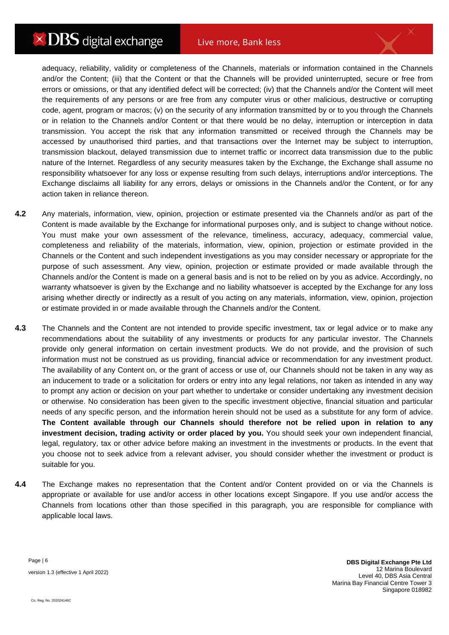## Live more, Bank less

adequacy, reliability, validity or completeness of the Channels, materials or information contained in the Channels and/or the Content; (iii) that the Content or that the Channels will be provided uninterrupted, secure or free from errors or omissions, or that any identified defect will be corrected; (iv) that the Channels and/or the Content will meet the requirements of any persons or are free from any computer virus or other malicious, destructive or corrupting code, agent, program or macros; (v) on the security of any information transmitted by or to you through the Channels or in relation to the Channels and/or Content or that there would be no delay, interruption or interception in data transmission. You accept the risk that any information transmitted or received through the Channels may be accessed by unauthorised third parties, and that transactions over the Internet may be subject to interruption, transmission blackout, delayed transmission due to internet traffic or incorrect data transmission due to the public nature of the Internet. Regardless of any security measures taken by the Exchange, the Exchange shall assume no responsibility whatsoever for any loss or expense resulting from such delays, interruptions and/or interceptions. The Exchange disclaims all liability for any errors, delays or omissions in the Channels and/or the Content, or for any action taken in reliance thereon.

- **4.2** Any materials, information, view, opinion, projection or estimate presented via the Channels and/or as part of the Content is made available by the Exchange for informational purposes only, and is subject to change without notice. You must make your own assessment of the relevance, timeliness, accuracy, adequacy, commercial value, completeness and reliability of the materials, information, view, opinion, projection or estimate provided in the Channels or the Content and such independent investigations as you may consider necessary or appropriate for the purpose of such assessment. Any view, opinion, projection or estimate provided or made available through the Channels and/or the Content is made on a general basis and is not to be relied on by you as advice. Accordingly, no warranty whatsoever is given by the Exchange and no liability whatsoever is accepted by the Exchange for any loss arising whether directly or indirectly as a result of you acting on any materials, information, view, opinion, projection or estimate provided in or made available through the Channels and/or the Content.
- **4.3** The Channels and the Content are not intended to provide specific investment, tax or legal advice or to make any recommendations about the suitability of any investments or products for any particular investor. The Channels provide only general information on certain investment products. We do not provide, and the provision of such information must not be construed as us providing, financial advice or recommendation for any investment product. The availability of any Content on, or the grant of access or use of, our Channels should not be taken in any way as an inducement to trade or a solicitation for orders or entry into any legal relations, nor taken as intended in any way to prompt any action or decision on your part whether to undertake or consider undertaking any investment decision or otherwise. No consideration has been given to the specific investment objective, financial situation and particular needs of any specific person, and the information herein should not be used as a substitute for any form of advice. **The Content available through our Channels should therefore not be relied upon in relation to any investment decision, trading activity or order placed by you.** You should seek your own independent financial, legal, regulatory, tax or other advice before making an investment in the investments or products. In the event that you choose not to seek advice from a relevant adviser, you should consider whether the investment or product is suitable for you.
- **4.4** The Exchange makes no representation that the Content and/or Content provided on or via the Channels is appropriate or available for use and/or access in other locations except Singapore. If you use and/or access the Channels from locations other than those specified in this paragraph, you are responsible for compliance with applicable local laws.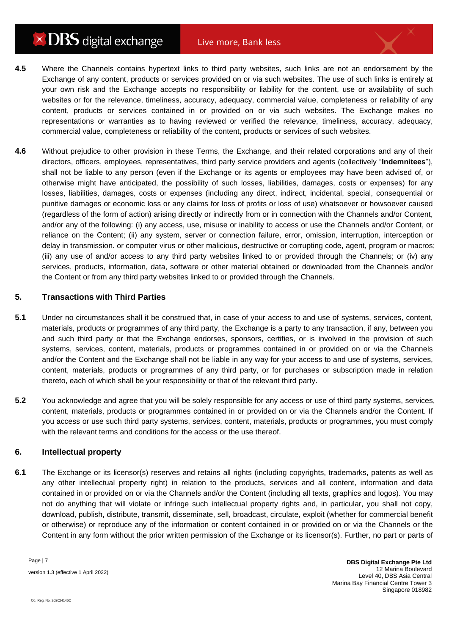- **4.5** Where the Channels contains hypertext links to third party websites, such links are not an endorsement by the Exchange of any content, products or services provided on or via such websites. The use of such links is entirely at your own risk and the Exchange accepts no responsibility or liability for the content, use or availability of such websites or for the relevance, timeliness, accuracy, adequacy, commercial value, completeness or reliability of any content, products or services contained in or provided on or via such websites. The Exchange makes no representations or warranties as to having reviewed or verified the relevance, timeliness, accuracy, adequacy, commercial value, completeness or reliability of the content, products or services of such websites.
- **4.6** Without prejudice to other provision in these Terms, the Exchange, and their related corporations and any of their directors, officers, employees, representatives, third party service providers and agents (collectively "**Indemnitees**"), shall not be liable to any person (even if the Exchange or its agents or employees may have been advised of, or otherwise might have anticipated, the possibility of such losses, liabilities, damages, costs or expenses) for any losses, liabilities, damages, costs or expenses (including any direct, indirect, incidental, special, consequential or punitive damages or economic loss or any claims for loss of profits or loss of use) whatsoever or howsoever caused (regardless of the form of action) arising directly or indirectly from or in connection with the Channels and/or Content, and/or any of the following: (i) any access, use, misuse or inability to access or use the Channels and/or Content, or reliance on the Content; (ii) any system, server or connection failure, error, omission, interruption, interception or delay in transmission. or computer virus or other malicious, destructive or corrupting code, agent, program or macros; (iii) any use of and/or access to any third party websites linked to or provided through the Channels; or (iv) any services, products, information, data, software or other material obtained or downloaded from the Channels and/or the Content or from any third party websites linked to or provided through the Channels.

#### **5. Transactions with Third Parties**

- **5.1** Under no circumstances shall it be construed that, in case of your access to and use of systems, services, content, materials, products or programmes of any third party, the Exchange is a party to any transaction, if any, between you and such third party or that the Exchange endorses, sponsors, certifies, or is involved in the provision of such systems, services, content, materials, products or programmes contained in or provided on or via the Channels and/or the Content and the Exchange shall not be liable in any way for your access to and use of systems, services, content, materials, products or programmes of any third party, or for purchases or subscription made in relation thereto, each of which shall be your responsibility or that of the relevant third party.
- **5.2** You acknowledge and agree that you will be solely responsible for any access or use of third party systems, services, content, materials, products or programmes contained in or provided on or via the Channels and/or the Content. If you access or use such third party systems, services, content, materials, products or programmes, you must comply with the relevant terms and conditions for the access or the use thereof.

### **6. Intellectual property**

**6.1** The Exchange or its licensor(s) reserves and retains all rights (including copyrights, trademarks, patents as well as any other intellectual property right) in relation to the products, services and all content, information and data contained in or provided on or via the Channels and/or the Content (including all texts, graphics and logos). You may not do anything that will violate or infringe such intellectual property rights and, in particular, you shall not copy, download, publish, distribute, transmit, disseminate, sell, broadcast, circulate, exploit (whether for commercial benefit or otherwise) or reproduce any of the information or content contained in or provided on or via the Channels or the Content in any form without the prior written permission of the Exchange or its licensor(s). Further, no part or parts of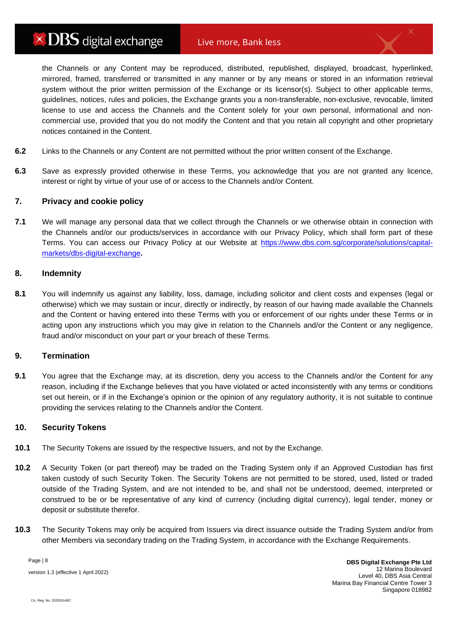# $\times$  DBS digital exchange

the Channels or any Content may be reproduced, distributed, republished, displayed, broadcast, hyperlinked, mirrored, framed, transferred or transmitted in any manner or by any means or stored in an information retrieval system without the prior written permission of the Exchange or its licensor(s). Subject to other applicable terms, guidelines, notices, rules and policies, the Exchange grants you a non-transferable, non-exclusive, revocable, limited license to use and access the Channels and the Content solely for your own personal, informational and noncommercial use, provided that you do not modify the Content and that you retain all copyright and other proprietary notices contained in the Content.

- **6.2** Links to the Channels or any Content are not permitted without the prior written consent of the Exchange.
- **6.3** Save as expressly provided otherwise in these Terms, you acknowledge that you are not granted any licence, interest or right by virtue of your use of or access to the Channels and/or Content.

## **7. Privacy and cookie policy**

**7.1** We will manage any personal data that we collect through the Channels or we otherwise obtain in connection with the Channels and/or our products/services in accordance with our Privacy Policy, which shall form part of these Terms. You can access our Privacy Policy at our Website at [https://www.dbs.com.sg/corporate/solutions/capital](https://www.dbs.com.sg/corporate/solutions/capital-markets/dbs-digital-exchange)[markets/dbs-digital-exchange](https://www.dbs.com.sg/corporate/solutions/capital-markets/dbs-digital-exchange)**.**

#### **8. Indemnity**

**8.1** You will indemnify us against any liability, loss, damage, including solicitor and client costs and expenses (legal or otherwise) which we may sustain or incur, directly or indirectly, by reason of our having made available the Channels and the Content or having entered into these Terms with you or enforcement of our rights under these Terms or in acting upon any instructions which you may give in relation to the Channels and/or the Content or any negligence, fraud and/or misconduct on your part or your breach of these Terms.

#### **9. Termination**

**9.1** You agree that the Exchange may, at its discretion, deny you access to the Channels and/or the Content for any reason, including if the Exchange believes that you have violated or acted inconsistently with any terms or conditions set out herein, or if in the Exchange's opinion or the opinion of any regulatory authority, it is not suitable to continue providing the services relating to the Channels and/or the Content.

#### **10. Security Tokens**

- **10.1** The Security Tokens are issued by the respective Issuers, and not by the Exchange.
- **10.2** A Security Token (or part thereof) may be traded on the Trading System only if an Approved Custodian has first taken custody of such Security Token. The Security Tokens are not permitted to be stored, used, listed or traded outside of the Trading System, and are not intended to be, and shall not be understood, deemed, interpreted or construed to be or be representative of any kind of currency (including digital currency), legal tender, money or deposit or substitute therefor.
- **10.3** The Security Tokens may only be acquired from Issuers via direct issuance outside the Trading System and/or from other Members via secondary trading on the Trading System, in accordance with the Exchange Requirements.

Page | 8 version 1.3 (effective 1 April 2022)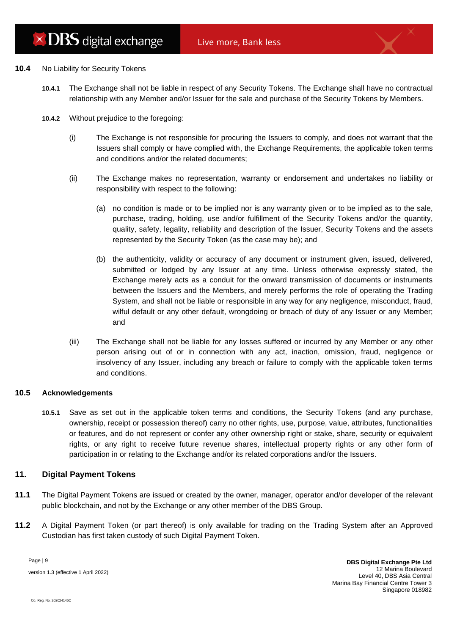#### **10.4** No Liability for Security Tokens

- **10.4.1** The Exchange shall not be liable in respect of any Security Tokens. The Exchange shall have no contractual relationship with any Member and/or Issuer for the sale and purchase of the Security Tokens by Members.
- **10.4.2** Without prejudice to the foregoing:
	- (i) The Exchange is not responsible for procuring the Issuers to comply, and does not warrant that the Issuers shall comply or have complied with, the Exchange Requirements, the applicable token terms and conditions and/or the related documents;
	- (ii) The Exchange makes no representation, warranty or endorsement and undertakes no liability or responsibility with respect to the following:
		- (a) no condition is made or to be implied nor is any warranty given or to be implied as to the sale, purchase, trading, holding, use and/or fulfillment of the Security Tokens and/or the quantity, quality, safety, legality, reliability and description of the Issuer, Security Tokens and the assets represented by the Security Token (as the case may be); and
		- (b) the authenticity, validity or accuracy of any document or instrument given, issued, delivered, submitted or lodged by any Issuer at any time. Unless otherwise expressly stated, the Exchange merely acts as a conduit for the onward transmission of documents or instruments between the Issuers and the Members, and merely performs the role of operating the Trading System, and shall not be liable or responsible in any way for any negligence, misconduct, fraud, wilful default or any other default, wrongdoing or breach of duty of any Issuer or any Member; and
	- (iii) The Exchange shall not be liable for any losses suffered or incurred by any Member or any other person arising out of or in connection with any act, inaction, omission, fraud, negligence or insolvency of any Issuer, including any breach or failure to comply with the applicable token terms and conditions.

## **10.5 Acknowledgements**

**10.5.1** Save as set out in the applicable token terms and conditions, the Security Tokens (and any purchase, ownership, receipt or possession thereof) carry no other rights, use, purpose, value, attributes, functionalities or features, and do not represent or confer any other ownership right or stake, share, security or equivalent rights, or any right to receive future revenue shares, intellectual property rights or any other form of participation in or relating to the Exchange and/or its related corporations and/or the Issuers.

#### **11. Digital Payment Tokens**

- **11.1** The Digital Payment Tokens are issued or created by the owner, manager, operator and/or developer of the relevant public blockchain, and not by the Exchange or any other member of the DBS Group.
- **11.2** A Digital Payment Token (or part thereof) is only available for trading on the Trading System after an Approved Custodian has first taken custody of such Digital Payment Token.

Page | 9 version 1.3 (effective 1 April 2022)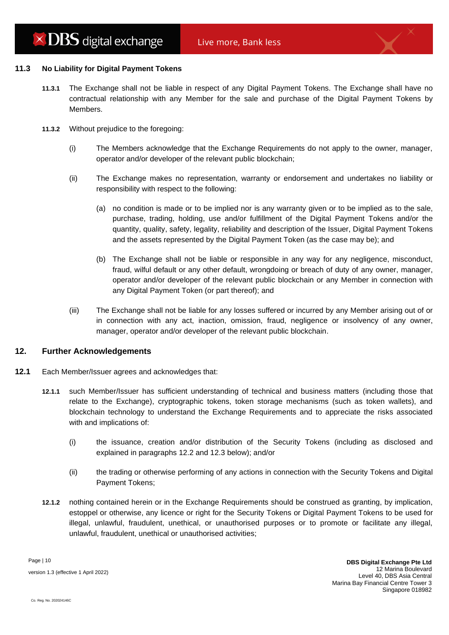#### **11.3 No Liability for Digital Payment Tokens**

- **11.3.1** The Exchange shall not be liable in respect of any Digital Payment Tokens. The Exchange shall have no contractual relationship with any Member for the sale and purchase of the Digital Payment Tokens by Members.
- **11.3.2** Without prejudice to the foregoing:
	- (i) The Members acknowledge that the Exchange Requirements do not apply to the owner, manager, operator and/or developer of the relevant public blockchain;
	- (ii) The Exchange makes no representation, warranty or endorsement and undertakes no liability or responsibility with respect to the following:
		- (a) no condition is made or to be implied nor is any warranty given or to be implied as to the sale, purchase, trading, holding, use and/or fulfillment of the Digital Payment Tokens and/or the quantity, quality, safety, legality, reliability and description of the Issuer, Digital Payment Tokens and the assets represented by the Digital Payment Token (as the case may be); and
		- (b) The Exchange shall not be liable or responsible in any way for any negligence, misconduct, fraud, wilful default or any other default, wrongdoing or breach of duty of any owner, manager, operator and/or developer of the relevant public blockchain or any Member in connection with any Digital Payment Token (or part thereof); and
	- (iii) The Exchange shall not be liable for any losses suffered or incurred by any Member arising out of or in connection with any act, inaction, omission, fraud, negligence or insolvency of any owner, manager, operator and/or developer of the relevant public blockchain.

## **12. Further Acknowledgements**

- **12.1** Each Member/Issuer agrees and acknowledges that:
	- **12.1.1** such Member/Issuer has sufficient understanding of technical and business matters (including those that relate to the Exchange), cryptographic tokens, token storage mechanisms (such as token wallets), and blockchain technology to understand the Exchange Requirements and to appreciate the risks associated with and implications of:
		- (i) the issuance, creation and/or distribution of the Security Tokens (including as disclosed and explained in paragraphs [12.2](#page-11-0) and [12.3](#page-11-1) below); and/or
		- (ii) the trading or otherwise performing of any actions in connection with the Security Tokens and Digital Payment Tokens;
	- **12.1.2** nothing contained herein or in the Exchange Requirements should be construed as granting, by implication, estoppel or otherwise, any licence or right for the Security Tokens or Digital Payment Tokens to be used for illegal, unlawful, fraudulent, unethical, or unauthorised purposes or to promote or facilitate any illegal, unlawful, fraudulent, unethical or unauthorised activities;

Page | 10 version 1.3 (effective 1 April 2022)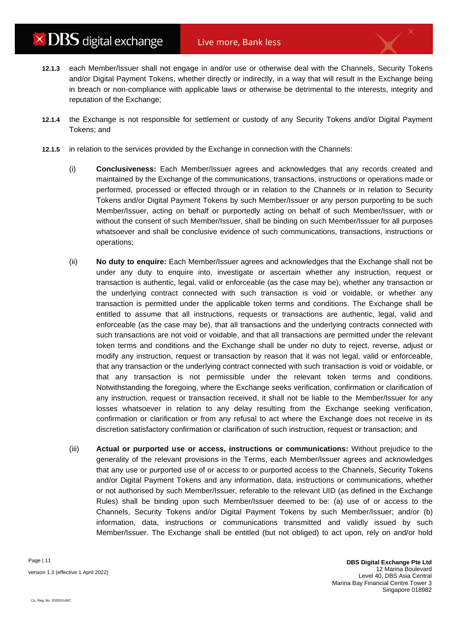- **12.1.3** each Member/Issuer shall not engage in and/or use or otherwise deal with the Channels, Security Tokens and/or Digital Payment Tokens, whether directly or indirectly, in a way that will result in the Exchange being in breach or non-compliance with applicable laws or otherwise be detrimental to the interests, integrity and reputation of the Exchange;
- **12.1.4** the Exchange is not responsible for settlement or custody of any Security Tokens and/or Digital Payment Tokens; and
- **12.1.5** in relation to the services provided by the Exchange in connection with the Channels:
	- (i) **Conclusiveness:** Each Member/Issuer agrees and acknowledges that any records created and maintained by the Exchange of the communications, transactions, instructions or operations made or performed, processed or effected through or in relation to the Channels or in relation to Security Tokens and/or Digital Payment Tokens by such Member/Issuer or any person purporting to be such Member/Issuer, acting on behalf or purportedly acting on behalf of such Member/Issuer, with or without the consent of such Member/Issuer, shall be binding on such Member/Issuer for all purposes whatsoever and shall be conclusive evidence of such communications, transactions, instructions or operations;
	- (ii) **No duty to enquire:** Each Member/Issuer agrees and acknowledges that the Exchange shall not be under any duty to enquire into, investigate or ascertain whether any instruction, request or transaction is authentic, legal, valid or enforceable (as the case may be), whether any transaction or the underlying contract connected with such transaction is void or voidable, or whether any transaction is permitted under the applicable token terms and conditions. The Exchange shall be entitled to assume that all instructions, requests or transactions are authentic, legal, valid and enforceable (as the case may be), that all transactions and the underlying contracts connected with such transactions are not void or voidable, and that all transactions are permitted under the relevant token terms and conditions and the Exchange shall be under no duty to reject, reverse, adjust or modify any instruction, request or transaction by reason that it was not legal, valid or enforceable, that any transaction or the underlying contract connected with such transaction is void or voidable, or that any transaction is not permissible under the relevant token terms and conditions. Notwithstanding the foregoing, where the Exchange seeks verification, confirmation or clarification of any instruction, request or transaction received, it shall not be liable to the Member/Issuer for any losses whatsoever in relation to any delay resulting from the Exchange seeking verification, confirmation or clarification or from any refusal to act where the Exchange does not receive in its discretion satisfactory confirmation or clarification of such instruction, request or transaction; and
	- (iii) **Actual or purported use or access, instructions or communications:** Without prejudice to the generality of the relevant provisions in the Terms, each Member/Issuer agrees and acknowledges that any use or purported use of or access to or purported access to the Channels, Security Tokens and/or Digital Payment Tokens and any information, data, instructions or communications, whether or not authorised by such Member/Issuer, referable to the relevant UID (as defined in the Exchange Rules) shall be binding upon such Member/Issuer deemed to be: (a) use of or access to the Channels, Security Tokens and/or Digital Payment Tokens by such Member/Issuer; and/or (b) information, data, instructions or communications transmitted and validly issued by such Member/Issuer. The Exchange shall be entitled (but not obliged) to act upon, rely on and/or hold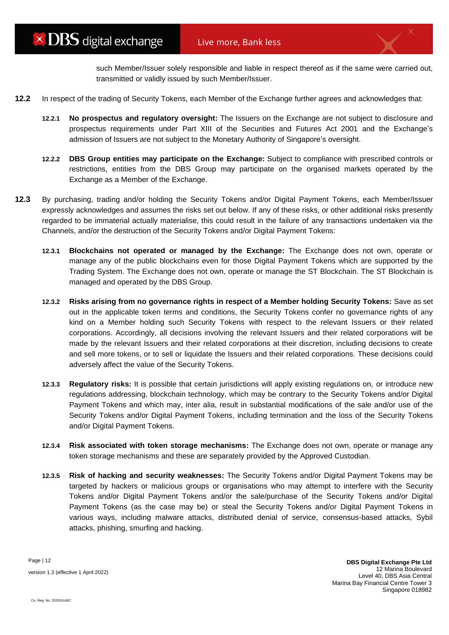such Member/Issuer solely responsible and liable in respect thereof as if the same were carried out, transmitted or validly issued by such Member/Issuer.

- <span id="page-11-0"></span>**12.2** In respect of the trading of Security Tokens, each Member of the Exchange further agrees and acknowledges that:
	- **12.2.1 No prospectus and regulatory oversight:** The Issuers on the Exchange are not subject to disclosure and prospectus requirements under Part XIII of the Securities and Futures Act 2001 and the Exchange's admission of Issuers are not subject to the Monetary Authority of Singapore's oversight.
	- **12.2.2 DBS Group entities may participate on the Exchange:** Subject to compliance with prescribed controls or restrictions, entities from the DBS Group may participate on the organised markets operated by the Exchange as a Member of the Exchange.
- <span id="page-11-1"></span>**12.3** By purchasing, trading and/or holding the Security Tokens and/or Digital Payment Tokens, each Member/Issuer expressly acknowledges and assumes the risks set out below. If any of these risks, or other additional risks presently regarded to be immaterial actually materialise, this could result in the failure of any transactions undertaken via the Channels, and/or the destruction of the Security Tokens and/or Digital Payment Tokens:
	- **12.3.1 Blockchains not operated or managed by the Exchange:** The Exchange does not own, operate or manage any of the public blockchains even for those Digital Payment Tokens which are supported by the Trading System. The Exchange does not own, operate or manage the ST Blockchain. The ST Blockchain is managed and operated by the DBS Group.
	- **12.3.2 Risks arising from no governance rights in respect of a Member holding Security Tokens:** Save as set out in the applicable token terms and conditions, the Security Tokens confer no governance rights of any kind on a Member holding such Security Tokens with respect to the relevant Issuers or their related corporations. Accordingly, all decisions involving the relevant Issuers and their related corporations will be made by the relevant Issuers and their related corporations at their discretion, including decisions to create and sell more tokens, or to sell or liquidate the Issuers and their related corporations. These decisions could adversely affect the value of the Security Tokens.
	- **12.3.3 Regulatory risks:** It is possible that certain jurisdictions will apply existing regulations on, or introduce new regulations addressing, blockchain technology, which may be contrary to the Security Tokens and/or Digital Payment Tokens and which may, inter alia, result in substantial modifications of the sale and/or use of the Security Tokens and/or Digital Payment Tokens, including termination and the loss of the Security Tokens and/or Digital Payment Tokens.
	- **12.3.4 Risk associated with token storage mechanisms:** The Exchange does not own, operate or manage any token storage mechanisms and these are separately provided by the Approved Custodian.
	- **12.3.5 Risk of hacking and security weaknesses:** The Security Tokens and/or Digital Payment Tokens may be targeted by hackers or malicious groups or organisations who may attempt to interfere with the Security Tokens and/or Digital Payment Tokens and/or the sale/purchase of the Security Tokens and/or Digital Payment Tokens (as the case may be) or steal the Security Tokens and/or Digital Payment Tokens in various ways, including malware attacks, distributed denial of service, consensus-based attacks, Sybil attacks, phishing, smurfing and hacking.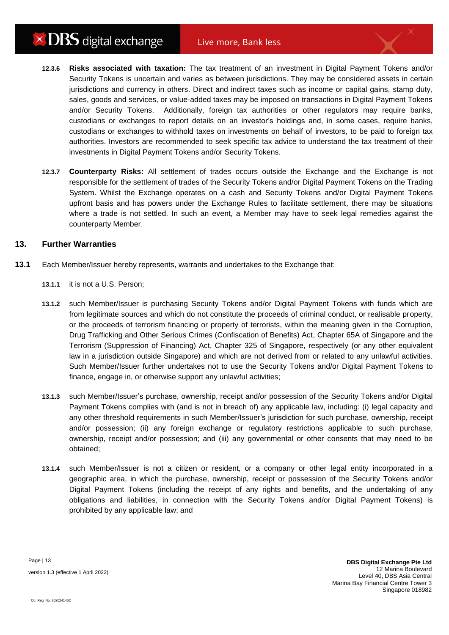- **12.3.6 Risks associated with taxation:** The tax treatment of an investment in Digital Payment Tokens and/or Security Tokens is uncertain and varies as between jurisdictions. They may be considered assets in certain jurisdictions and currency in others. Direct and indirect taxes such as income or capital gains, stamp duty, sales, goods and services, or value-added taxes may be imposed on transactions in Digital Payment Tokens and/or Security Tokens. Additionally, foreign tax authorities or other regulators may require banks, custodians or exchanges to report details on an investor's holdings and, in some cases, require banks, custodians or exchanges to withhold taxes on investments on behalf of investors, to be paid to foreign tax authorities. Investors are recommended to seek specific tax advice to understand the tax treatment of their investments in Digital Payment Tokens and/or Security Tokens.
- **12.3.7 Counterparty Risks:** All settlement of trades occurs outside the Exchange and the Exchange is not responsible for the settlement of trades of the Security Tokens and/or Digital Payment Tokens on the Trading System. Whilst the Exchange operates on a cash and Security Tokens and/or Digital Payment Tokens upfront basis and has powers under the Exchange Rules to facilitate settlement, there may be situations where a trade is not settled. In such an event, a Member may have to seek legal remedies against the counterparty Member.

## **13. Further Warranties**

- **13.1** Each Member/Issuer hereby represents, warrants and undertakes to the Exchange that:
	- **13.1.1** it is not a U.S. Person;
	- **13.1.2** such Member/Issuer is purchasing Security Tokens and/or Digital Payment Tokens with funds which are from legitimate sources and which do not constitute the proceeds of criminal conduct, or realisable property, or the proceeds of terrorism financing or property of terrorists, within the meaning given in the Corruption, Drug Trafficking and Other Serious Crimes (Confiscation of Benefits) Act, Chapter 65A of Singapore and the Terrorism (Suppression of Financing) Act, Chapter 325 of Singapore, respectively (or any other equivalent law in a jurisdiction outside Singapore) and which are not derived from or related to any unlawful activities. Such Member/Issuer further undertakes not to use the Security Tokens and/or Digital Payment Tokens to finance, engage in, or otherwise support any unlawful activities;
	- **13.1.3** such Member/Issuer's purchase, ownership, receipt and/or possession of the Security Tokens and/or Digital Payment Tokens complies with (and is not in breach of) any applicable law, including: (i) legal capacity and any other threshold requirements in such Member/Issuer's jurisdiction for such purchase, ownership, receipt and/or possession; (ii) any foreign exchange or regulatory restrictions applicable to such purchase, ownership, receipt and/or possession; and (iii) any governmental or other consents that may need to be obtained;
	- **13.1.4** such Member/Issuer is not a citizen or resident, or a company or other legal entity incorporated in a geographic area, in which the purchase, ownership, receipt or possession of the Security Tokens and/or Digital Payment Tokens (including the receipt of any rights and benefits, and the undertaking of any obligations and liabilities, in connection with the Security Tokens and/or Digital Payment Tokens) is prohibited by any applicable law; and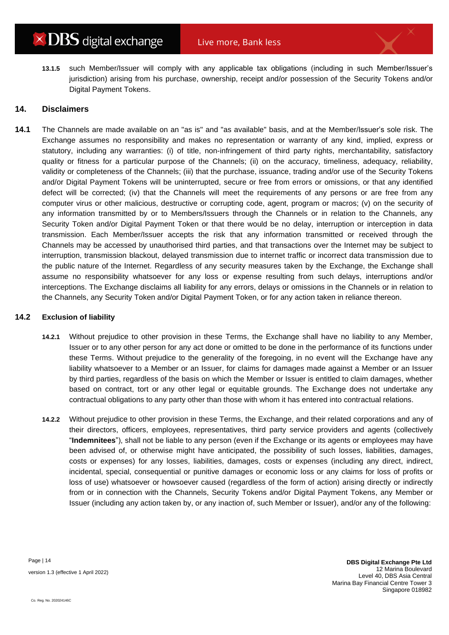**13.1.5** such Member/Issuer will comply with any applicable tax obligations (including in such Member/Issuer's jurisdiction) arising from his purchase, ownership, receipt and/or possession of the Security Tokens and/or Digital Payment Tokens.

## **14. Disclaimers**

**14.1** The Channels are made available on an "as is" and "as available" basis, and at the Member/Issuer's sole risk. The Exchange assumes no responsibility and makes no representation or warranty of any kind, implied, express or statutory, including any warranties: (i) of title, non-infringement of third party rights, merchantability, satisfactory quality or fitness for a particular purpose of the Channels; (ii) on the accuracy, timeliness, adequacy, reliability, validity or completeness of the Channels; (iii) that the purchase, issuance, trading and/or use of the Security Tokens and/or Digital Payment Tokens will be uninterrupted, secure or free from errors or omissions, or that any identified defect will be corrected; (iv) that the Channels will meet the requirements of any persons or are free from any computer virus or other malicious, destructive or corrupting code, agent, program or macros; (v) on the security of any information transmitted by or to Members/Issuers through the Channels or in relation to the Channels, any Security Token and/or Digital Payment Token or that there would be no delay, interruption or interception in data transmission. Each Member/Issuer accepts the risk that any information transmitted or received through the Channels may be accessed by unauthorised third parties, and that transactions over the Internet may be subject to interruption, transmission blackout, delayed transmission due to internet traffic or incorrect data transmission due to the public nature of the Internet. Regardless of any security measures taken by the Exchange, the Exchange shall assume no responsibility whatsoever for any loss or expense resulting from such delays, interruptions and/or interceptions. The Exchange disclaims all liability for any errors, delays or omissions in the Channels or in relation to the Channels, any Security Token and/or Digital Payment Token, or for any action taken in reliance thereon.

### **14.2 Exclusion of liability**

- **14.2.1** Without prejudice to other provision in these Terms, the Exchange shall have no liability to any Member, Issuer or to any other person for any act done or omitted to be done in the performance of its functions under these Terms. Without prejudice to the generality of the foregoing, in no event will the Exchange have any liability whatsoever to a Member or an Issuer, for claims for damages made against a Member or an Issuer by third parties, regardless of the basis on which the Member or Issuer is entitled to claim damages, whether based on contract, tort or any other legal or equitable grounds. The Exchange does not undertake any contractual obligations to any party other than those with whom it has entered into contractual relations.
- <span id="page-13-0"></span>**14.2.2** Without prejudice to other provision in these Terms, the Exchange, and their related corporations and any of their directors, officers, employees, representatives, third party service providers and agents (collectively "**Indemnitees**"), shall not be liable to any person (even if the Exchange or its agents or employees may have been advised of, or otherwise might have anticipated, the possibility of such losses, liabilities, damages, costs or expenses) for any losses, liabilities, damages, costs or expenses (including any direct, indirect, incidental, special, consequential or punitive damages or economic loss or any claims for loss of profits or loss of use) whatsoever or howsoever caused (regardless of the form of action) arising directly or indirectly from or in connection with the Channels, Security Tokens and/or Digital Payment Tokens, any Member or Issuer (including any action taken by, or any inaction of, such Member or Issuer), and/or any of the following: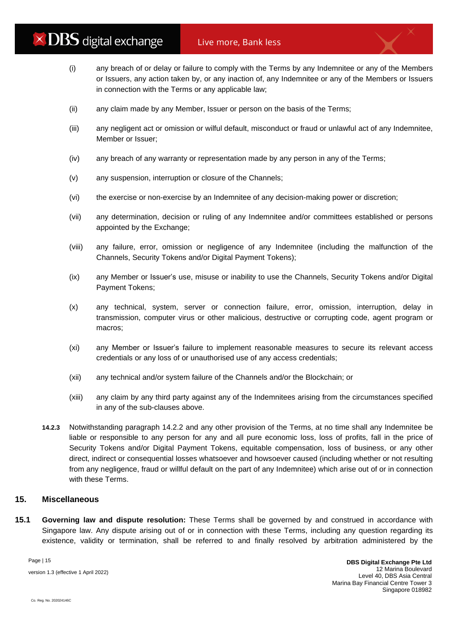- (i) any breach of or delay or failure to comply with the Terms by any Indemnitee or any of the Members or Issuers, any action taken by, or any inaction of, any Indemnitee or any of the Members or Issuers in connection with the Terms or any applicable law;
- (ii) any claim made by any Member, Issuer or person on the basis of the Terms;
- (iii) any negligent act or omission or wilful default, misconduct or fraud or unlawful act of any Indemnitee, Member or Issuer;
- (iv) any breach of any warranty or representation made by any person in any of the Terms;
- (v) any suspension, interruption or closure of the Channels;
- (vi) the exercise or non-exercise by an Indemnitee of any decision-making power or discretion;
- (vii) any determination, decision or ruling of any Indemnitee and/or committees established or persons appointed by the Exchange;
- (viii) any failure, error, omission or negligence of any Indemnitee (including the malfunction of the Channels, Security Tokens and/or Digital Payment Tokens);
- (ix) any Member or Issuer's use, misuse or inability to use the Channels, Security Tokens and/or Digital Payment Tokens;
- (x) any technical, system, server or connection failure, error, omission, interruption, delay in transmission, computer virus or other malicious, destructive or corrupting code, agent program or macros;
- (xi) any Member or Issuer's failure to implement reasonable measures to secure its relevant access credentials or any loss of or unauthorised use of any access credentials;
- (xii) any technical and/or system failure of the Channels and/or the Blockchain; or
- (xiii) any claim by any third party against any of the Indemnitees arising from the circumstances specified in any of the sub-clauses above.
- **14.2.3** Notwithstanding paragraph [14.2.2](#page-13-0) and any other provision of the Terms, at no time shall any Indemnitee be liable or responsible to any person for any and all pure economic loss, loss of profits, fall in the price of Security Tokens and/or Digital Payment Tokens, equitable compensation, loss of business, or any other direct, indirect or consequential losses whatsoever and howsoever caused (including whether or not resulting from any negligence, fraud or willful default on the part of any Indemnitee) which arise out of or in connection with these Terms.

## **15. Miscellaneous**

<span id="page-14-0"></span>**15.1 Governing law and dispute resolution:** These Terms shall be governed by and construed in accordance with Singapore law. Any dispute arising out of or in connection with these Terms, including any question regarding its existence, validity or termination, shall be referred to and finally resolved by arbitration administered by the

Page | 15

version 1.3 (effective 1 April 2022)